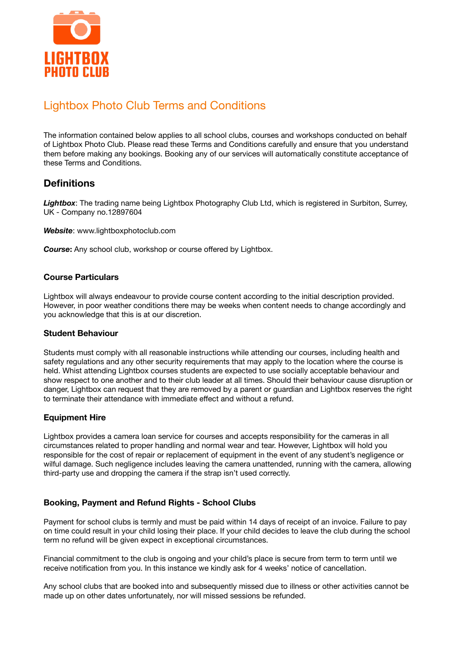

# Lightbox Photo Club Terms and Conditions

The information contained below applies to all school clubs, courses and workshops conducted on behalf of Lightbox Photo Club. Please read these Terms and Conditions carefully and ensure that you understand them before making any bookings. Booking any of our services will automatically constitute acceptance of these Terms and Conditions.

## **Definitions**

Lightbox: The trading name being Lightbox Photography Club Ltd, which is registered in Surbiton, Surrey, UK - Company no.12897604

*Website*: www.lightboxphotoclub.com

*Course***:** Any school club, workshop or course offered by Lightbox.

#### **Course Particulars**

Lightbox will always endeavour to provide course content according to the initial description provided. However, in poor weather conditions there may be weeks when content needs to change accordingly and you acknowledge that this is at our discretion.

#### **Student Behaviour**

Students must comply with all reasonable instructions while attending our courses, including health and safety regulations and any other security requirements that may apply to the location where the course is held. Whist attending Lightbox courses students are expected to use socially acceptable behaviour and show respect to one another and to their club leader at all times. Should their behaviour cause disruption or danger, Lightbox can request that they are removed by a parent or guardian and Lightbox reserves the right to terminate their attendance with immediate effect and without a refund.

#### **Equipment Hire**

Lightbox provides a camera loan service for courses and accepts responsibility for the cameras in all circumstances related to proper handling and normal wear and tear. However, Lightbox will hold you responsible for the cost of repair or replacement of equipment in the event of any student's negligence or wilful damage. Such negligence includes leaving the camera unattended, running with the camera, allowing third-party use and dropping the camera if the strap isn't used correctly.

### **Booking, Payment and Refund Rights - School Clubs**

Payment for school clubs is termly and must be paid within 14 days of receipt of an invoice. Failure to pay on time could result in your child losing their place. If your child decides to leave the club during the school term no refund will be given expect in exceptional circumstances.

Financial commitment to the club is ongoing and your child's place is secure from term to term until we receive notification from you. In this instance we kindly ask for 4 weeks' notice of cancellation.

Any school clubs that are booked into and subsequently missed due to illness or other activities cannot be made up on other dates unfortunately, nor will missed sessions be refunded.